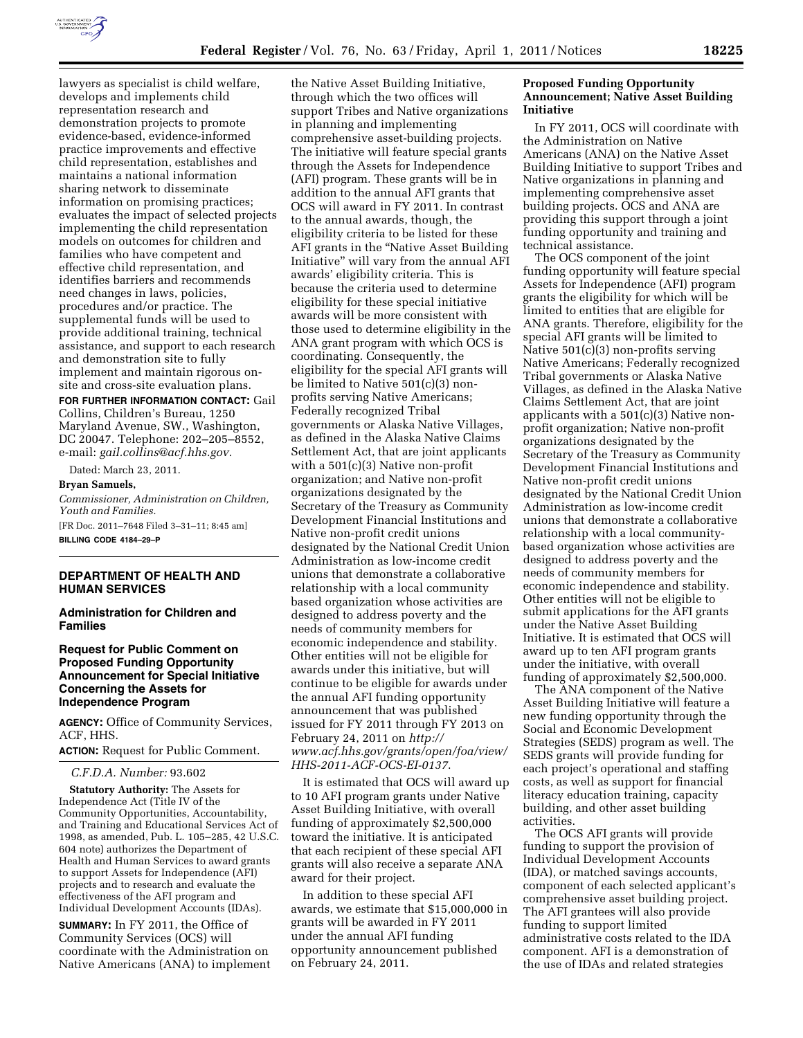

lawyers as specialist is child welfare, develops and implements child representation research and demonstration projects to promote evidence-based, evidence-informed practice improvements and effective child representation, establishes and maintains a national information sharing network to disseminate information on promising practices; evaluates the impact of selected projects implementing the child representation models on outcomes for children and families who have competent and effective child representation, and identifies barriers and recommends need changes in laws, policies, procedures and/or practice. The supplemental funds will be used to provide additional training, technical assistance, and support to each research and demonstration site to fully implement and maintain rigorous onsite and cross-site evaluation plans.

**FOR FURTHER INFORMATION CONTACT:** Gail Collins, Children's Bureau, 1250 Maryland Avenue, SW., Washington, DC 20047. Telephone: 202–205–8552, e-mail: *[gail.collins@acf.hhs.gov.](mailto:gail.collins@acf.hhs.gov)* 

Dated: March 23, 2011.

**Bryan Samuels,** 

*Commissioner, Administration on Children, Youth and Families.*  [FR Doc. 2011–7648 Filed 3–31–11; 8:45 am]

**BILLING CODE 4184–29–P** 

## **DEPARTMENT OF HEALTH AND HUMAN SERVICES**

**Administration for Children and Families** 

## **Request for Public Comment on Proposed Funding Opportunity Announcement for Special Initiative Concerning the Assets for Independence Program**

**AGENCY:** Office of Community Services, ACF, HHS.

**ACTION:** Request for Public Comment.

*C.F.D.A. Number:* 93.602

**Statutory Authority:** The Assets for Independence Act (Title IV of the Community Opportunities, Accountability, and Training and Educational Services Act of 1998, as amended, Pub. L. 105–285, 42 U.S.C. 604 note) authorizes the Department of Health and Human Services to award grants to support Assets for Independence (AFI) projects and to research and evaluate the effectiveness of the AFI program and Individual Development Accounts (IDAs).

**SUMMARY:** In FY 2011, the Office of Community Services (OCS) will coordinate with the Administration on Native Americans (ANA) to implement

the Native Asset Building Initiative, through which the two offices will support Tribes and Native organizations in planning and implementing comprehensive asset-building projects. The initiative will feature special grants through the Assets for Independence (AFI) program. These grants will be in addition to the annual AFI grants that OCS will award in FY 2011. In contrast to the annual awards, though, the eligibility criteria to be listed for these AFI grants in the ''Native Asset Building Initiative'' will vary from the annual AFI awards' eligibility criteria. This is because the criteria used to determine eligibility for these special initiative awards will be more consistent with those used to determine eligibility in the ANA grant program with which OCS is coordinating. Consequently, the eligibility for the special AFI grants will be limited to Native 501(c)(3) nonprofits serving Native Americans; Federally recognized Tribal governments or Alaska Native Villages, as defined in the Alaska Native Claims Settlement Act, that are joint applicants with a 501(c)(3) Native non-profit organization; and Native non-profit organizations designated by the Secretary of the Treasury as Community Development Financial Institutions and Native non-profit credit unions designated by the National Credit Union Administration as low-income credit unions that demonstrate a collaborative relationship with a local community based organization whose activities are designed to address poverty and the needs of community members for economic independence and stability. Other entities will not be eligible for awards under this initiative, but will continue to be eligible for awards under the annual AFI funding opportunity announcement that was published issued for FY 2011 through FY 2013 on February 24, 2011 on *[http://](http://www.acf.hhs.gov/grants/open/foa/view/HHS-2011-ACF-OCS-EI-0137) [www.acf.hhs.gov/grants/open/foa/view/](http://www.acf.hhs.gov/grants/open/foa/view/HHS-2011-ACF-OCS-EI-0137) [HHS-2011-ACF-OCS-EI-0137](http://www.acf.hhs.gov/grants/open/foa/view/HHS-2011-ACF-OCS-EI-0137)*.

It is estimated that OCS will award up to 10 AFI program grants under Native Asset Building Initiative, with overall funding of approximately \$2,500,000 toward the initiative. It is anticipated that each recipient of these special AFI grants will also receive a separate ANA award for their project.

In addition to these special AFI awards, we estimate that \$15,000,000 in grants will be awarded in FY 2011 under the annual AFI funding opportunity announcement published on February 24, 2011.

## **Proposed Funding Opportunity Announcement; Native Asset Building Initiative**

In FY 2011, OCS will coordinate with the Administration on Native Americans (ANA) on the Native Asset Building Initiative to support Tribes and Native organizations in planning and implementing comprehensive asset building projects. OCS and ANA are providing this support through a joint funding opportunity and training and technical assistance.

The OCS component of the joint funding opportunity will feature special Assets for Independence (AFI) program grants the eligibility for which will be limited to entities that are eligible for ANA grants. Therefore, eligibility for the special AFI grants will be limited to Native 501(c)(3) non-profits serving Native Americans; Federally recognized Tribal governments or Alaska Native Villages, as defined in the Alaska Native Claims Settlement Act, that are joint applicants with a  $501(c)(3)$  Native nonprofit organization; Native non-profit organizations designated by the Secretary of the Treasury as Community Development Financial Institutions and Native non-profit credit unions designated by the National Credit Union Administration as low-income credit unions that demonstrate a collaborative relationship with a local communitybased organization whose activities are designed to address poverty and the needs of community members for economic independence and stability. Other entities will not be eligible to submit applications for the AFI grants under the Native Asset Building Initiative. It is estimated that OCS will award up to ten AFI program grants under the initiative, with overall funding of approximately \$2,500,000.

The ANA component of the Native Asset Building Initiative will feature a new funding opportunity through the Social and Economic Development Strategies (SEDS) program as well. The SEDS grants will provide funding for each project's operational and staffing costs, as well as support for financial literacy education training, capacity building, and other asset building activities.

The OCS AFI grants will provide funding to support the provision of Individual Development Accounts (IDA), or matched savings accounts, component of each selected applicant's comprehensive asset building project. The AFI grantees will also provide funding to support limited administrative costs related to the IDA component. AFI is a demonstration of the use of IDAs and related strategies